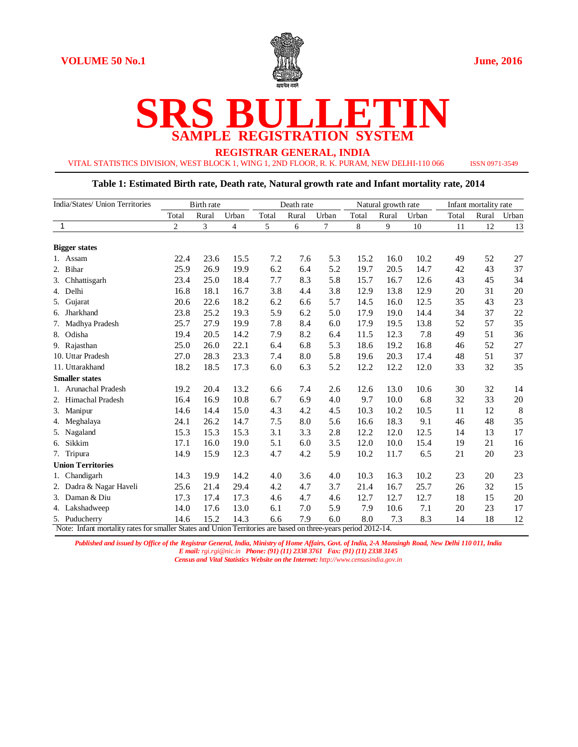

# **SRS BULLETIN SAMPLE REGISTRATION SYSTEM**

**REGISTRAR GENERAL, INDIA**

VITAL STATISTICS DIVISION, WEST BLOCK 1, WING 1, 2ND FLOOR, R. K. PURAM, NEW DELHI-110 066 ISSN 0971-3549

#### **Table 1: Estimated Birth rate, Death rate, Natural growth rate and Infant mortality rate, 2014**

| India/States/ Union Territories                                                                                                 |                | <b>Birth</b> rate |                |       | Death rate |                | Natural growth rate |       | Infant mortality rate |       |       |       |
|---------------------------------------------------------------------------------------------------------------------------------|----------------|-------------------|----------------|-------|------------|----------------|---------------------|-------|-----------------------|-------|-------|-------|
|                                                                                                                                 | Total          | Rural             | Urban          | Total | Rural      | Urban          | Total               | Rural | Urban                 | Total | Rural | Urban |
| $\mathbf{1}$                                                                                                                    | $\overline{2}$ | 3                 | $\overline{4}$ | 5     | 6          | $\overline{7}$ | 8                   | 9     | 10                    | 11    | 12    | 13    |
| <b>Bigger states</b>                                                                                                            |                |                   |                |       |            |                |                     |       |                       |       |       |       |
| 1. Assam                                                                                                                        | 22.4           | 23.6              | 15.5           | 7.2   | 7.6        | 5.3            | 15.2                | 16.0  | 10.2                  | 49    | 52    | 27    |
| 2. Bihar                                                                                                                        | 25.9           | 26.9              | 19.9           | 6.2   | 6.4        | 5.2            | 19.7                | 20.5  | 14.7                  | 42    | 43    | 37    |
| 3. Chhattisgarh                                                                                                                 | 23.4           | 25.0              | 18.4           | 7.7   | 8.3        | 5.8            | 15.7                | 16.7  | 12.6                  | 43    | 45    | 34    |
| 4. Delhi                                                                                                                        | 16.8           | 18.1              | 16.7           | 3.8   | 4.4        | 3.8            | 12.9                | 13.8  | 12.9                  | 20    | 31    | 20    |
| Gujarat<br>5.                                                                                                                   | 20.6           | 22.6              | 18.2           | 6.2   | 6.6        | 5.7            | 14.5                | 16.0  | 12.5                  | 35    | 43    | 23    |
| 6. Jharkhand                                                                                                                    | 23.8           | 25.2              | 19.3           | 5.9   | 6.2        | 5.0            | 17.9                | 19.0  | 14.4                  | 34    | 37    | 22    |
| Madhya Pradesh<br>7.                                                                                                            | 25.7           | 27.9              | 19.9           | 7.8   | 8.4        | 6.0            | 17.9                | 19.5  | 13.8                  | 52    | 57    | 35    |
| 8. Odisha                                                                                                                       | 19.4           | 20.5              | 14.2           | 7.9   | 8.2        | 6.4            | 11.5                | 12.3  | 7.8                   | 49    | 51    | 36    |
| 9. Rajasthan                                                                                                                    | 25.0           | 26.0              | 22.1           | 6.4   | 6.8        | 5.3            | 18.6                | 19.2  | 16.8                  | 46    | 52    | 27    |
| 10. Uttar Pradesh                                                                                                               | 27.0           | 28.3              | 23.3           | 7.4   | 8.0        | 5.8            | 19.6                | 20.3  | 17.4                  | 48    | 51    | 37    |
| 11. Uttarakhand                                                                                                                 | 18.2           | 18.5              | 17.3           | 6.0   | 6.3        | 5.2            | 12.2                | 12.2  | 12.0                  | 33    | 32    | 35    |
| <b>Smaller</b> states                                                                                                           |                |                   |                |       |            |                |                     |       |                       |       |       |       |
| 1. Arunachal Pradesh                                                                                                            | 19.2           | 20.4              | 13.2           | 6.6   | 7.4        | 2.6            | 12.6                | 13.0  | 10.6                  | 30    | 32    | 14    |
| 2. Himachal Pradesh                                                                                                             | 16.4           | 16.9              | 10.8           | 6.7   | 6.9        | 4.0            | 9.7                 | 10.0  | 6.8                   | 32    | 33    | 20    |
| 3. Manipur                                                                                                                      | 14.6           | 14.4              | 15.0           | 4.3   | 4.2        | 4.5            | 10.3                | 10.2  | 10.5                  | 11    | 12    | 8     |
| 4. Meghalaya                                                                                                                    | 24.1           | 26.2              | 14.7           | 7.5   | 8.0        | 5.6            | 16.6                | 18.3  | 9.1                   | 46    | 48    | 35    |
| 5. Nagaland                                                                                                                     | 15.3           | 15.3              | 15.3           | 3.1   | 3.3        | 2.8            | 12.2                | 12.0  | 12.5                  | 14    | 13    | 17    |
| 6. Sikkim                                                                                                                       | 17.1           | 16.0              | 19.0           | 5.1   | 6.0        | 3.5            | 12.0                | 10.0  | 15.4                  | 19    | 21    | 16    |
| 7. Tripura                                                                                                                      | 14.9           | 15.9              | 12.3           | 4.7   | 4.2        | 5.9            | 10.2                | 11.7  | 6.5                   | 21    | 20    | 23    |
| <b>Union Territories</b>                                                                                                        |                |                   |                |       |            |                |                     |       |                       |       |       |       |
| 1. Chandigarh                                                                                                                   | 14.3           | 19.9              | 14.2           | 4.0   | 3.6        | 4.0            | 10.3                | 16.3  | 10.2                  | 23    | 20    | 23    |
| 2. Dadra & Nagar Haveli                                                                                                         | 25.6           | 21.4              | 29.4           | 4.2   | 4.7        | 3.7            | 21.4                | 16.7  | 25.7                  | 26    | 32    | 15    |
| 3. Daman & Diu                                                                                                                  | 17.3           | 17.4              | 17.3           | 4.6   | 4.7        | 4.6            | 12.7                | 12.7  | 12.7                  | 18    | 15    | 20    |
| 4. Lakshadweep                                                                                                                  | 14.0           | 17.6              | 13.0           | 6.1   | 7.0        | 5.9            | 7.9                 | 10.6  | 7.1                   | 20    | 23    | 17    |
| 5. Puducherry<br>Note: Infant mortality rates for smaller States and Union Territories are based on three-years period 2012-14. | 14.6           | 15.2              | 14.3           | 6.6   | 7.9        | 6.0            | 8.0                 | 7.3   | 8.3                   | 14    | 18    | 12    |

*Published and issued by Office of the Registrar General, India, Ministry of Home Affairs, Govt. of India, 2-A Mansingh Road, New Delhi 110 011, India E mail: rgi.rgi@nic.in Phone: (91) (11) 2338 3761 Fax: (91) (11) 2338 3145*

*Census and Vital Statistics Website on the Internet: http://www.censusindia.gov.in*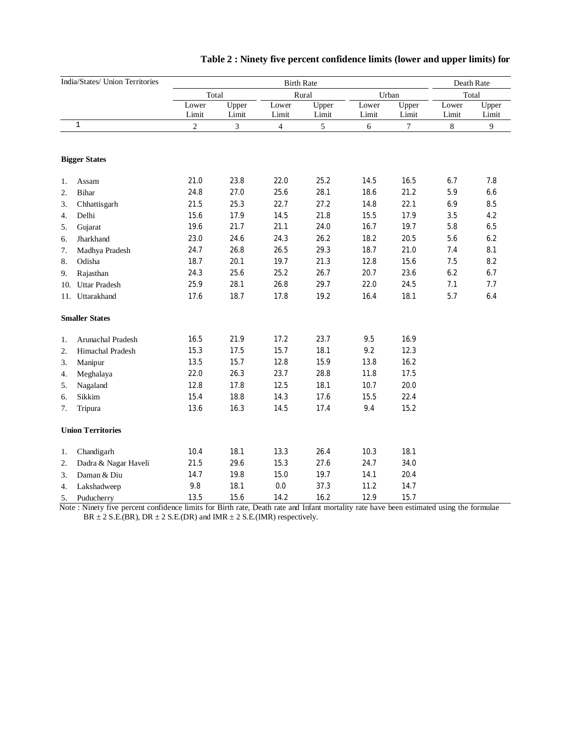|                  | India/States/ Union Territories |            | Death Rate     |                |                |       |        |       |       |
|------------------|---------------------------------|------------|----------------|----------------|----------------|-------|--------|-------|-------|
|                  |                                 | Total      |                |                | Rural          |       | Urban  |       | Total |
|                  |                                 | Lower      | Upper          | Lower          | Upper          | Lower | Upper  | Lower | Upper |
|                  |                                 | Limit      | Limit          | Limit          | Limit          | Limit | Limit  | Limit | Limit |
|                  | $\mathbf{1}$                    | $\sqrt{2}$ | $\overline{3}$ | $\overline{4}$ | $\mathfrak{S}$ | 6     | $\tau$ | $8\,$ | 9     |
|                  | <b>Bigger States</b>            |            |                |                |                |       |        |       |       |
| 1.               | Assam                           | 21.0       | 23.8           | 22.0           | 25.2           | 14.5  | 16.5   | 6.7   | 7.8   |
| $\overline{2}$ . | <b>Bihar</b>                    | 24.8       | 27.0           | 25.6           | 28.1           | 18.6  | 21.2   | 5.9   | 6.6   |
| 3.               | Chhattisgarh                    | 21.5       | 25.3           | 22.7           | 27.2           | 14.8  | 22.1   | 6.9   | 8.5   |
| 4.               | Delhi                           | 15.6       | 17.9           | 14.5           | 21.8           | 15.5  | 17.9   | 3.5   | 4.2   |
| 5.               | Gujarat                         | 19.6       | 21.7           | 21.1           | 24.0           | 16.7  | 19.7   | 5.8   | 6.5   |
| 6.               | Jharkhand                       | 23.0       | 24.6           | 24.3           | 26.2           | 18.2  | 20.5   | 5.6   | 6.2   |
| 7.               | Madhya Pradesh                  | 24.7       | 26.8           | 26.5           | 29.3           | 18.7  | 21.0   | 7.4   | 8.1   |
| 8.               | Odisha                          | 18.7       | 20.1           | 19.7           | 21.3           | 12.8  | 15.6   | 7.5   | 8.2   |
| 9.               | Rajasthan                       | 24.3       | 25.6           | 25.2           | 26.7           | 20.7  | 23.6   | 6.2   | 6.7   |
| 10.              | <b>Uttar Pradesh</b>            | 25.9       | 28.1           | 26.8           | 29.7           | 22.0  | 24.5   | 7.1   | 7.7   |
|                  | 11. Uttarakhand                 | 17.6       | 18.7           | 17.8           | 19.2           | 16.4  | 18.1   | 5.7   | 6.4   |
|                  | <b>Smaller States</b>           |            |                |                |                |       |        |       |       |
| 1.               | Arunachal Pradesh               | 16.5       | 21.9           | 17.2           | 23.7           | 9.5   | 16.9   |       |       |
| 2.               | Himachal Pradesh                | 15.3       | 17.5           | 15.7           | 18.1           | 9.2   | 12.3   |       |       |
| 3.               | Manipur                         | 13.5       | 15.7           | 12.8           | 15.9           | 13.8  | 16.2   |       |       |
| 4.               | Meghalaya                       | 22.0       | 26.3           | 23.7           | 28.8           | 11.8  | 17.5   |       |       |
| 5.               | Nagaland                        | 12.8       | 17.8           | 12.5           | 18.1           | 10.7  | 20.0   |       |       |
| 6.               | Sikkim                          | 15.4       | 18.8           | 14.3           | 17.6           | 15.5  | 22.4   |       |       |
| 7.               | Tripura                         | 13.6       | 16.3           | 14.5           | 17.4           | 9.4   | 15.2   |       |       |
|                  | <b>Union Territories</b>        |            |                |                |                |       |        |       |       |
| 1.               | Chandigarh                      | 10.4       | 18.1           | 13.3           | 26.4           | 10.3  | 18.1   |       |       |
| 2.               | Dadra & Nagar Haveli            | 21.5       | 29.6           | 15.3           | 27.6           | 24.7  | 34.0   |       |       |
| 3.               | Daman & Diu                     | 14.7       | 19.8           | 15.0           | 19.7           | 14.1  | 20.4   |       |       |
| 4.               | Lakshadweep                     | 9.8        | 18.1           | 0.0            | 37.3           | 11.2  | 14.7   |       |       |
| 5.               | Puducherry                      | 13.5       | 15.6           | 14.2           | 16.2           | 12.9  | 15.7   |       |       |

## **Table 2 : Ninety five percent confidence limits (lower and upper limits) for**

 Note : Ninety five percent confidence limits for Birth rate, Death rate and Infant mortality rate have been estimated using the formulae BR  $\pm 2$  S.E.(BR), DR  $\pm 2$  S.E.(DR) and IMR  $\pm 2$  S.E.(IMR) respectively.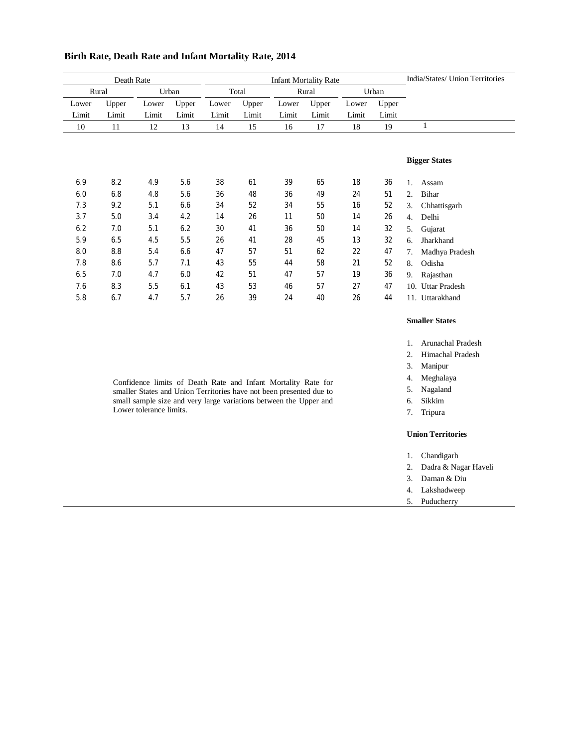| Death Rate     |       |       |       | <b>Infant Mortality Rate</b> |       |       |       |       |       |    | India/States/ Union Territories |
|----------------|-------|-------|-------|------------------------------|-------|-------|-------|-------|-------|----|---------------------------------|
| Urban<br>Rural |       |       |       | Total                        |       | Rural |       | Urban |       |    |                                 |
| Lower          | Upper | Lower | Upper | Lower                        | Upper | Lower | Upper | Lower | Upper |    |                                 |
| Limit          | Limit | Limit | Limit | Limit                        | Limit | Limit | Limit | Limit | Limit |    |                                 |
| 10             | 11    | 12    | 13    | 14                           | 15    | 16    | 17    | 18    | 19    |    | 1                               |
|                |       |       |       |                              |       |       |       |       |       |    |                                 |
|                |       |       |       |                              |       |       |       |       |       |    |                                 |
|                |       |       |       |                              |       |       |       |       |       |    | <b>Bigger States</b>            |
| 6.9            | 8.2   | 4.9   | 5.6   | 38                           | 61    | 39    | 65    | 18    | 36    | 1. | Assam                           |
| 6.0            | 6.8   | 4.8   | 5.6   | 36                           | 48    | 36    | 49    | 24    | 51    | 2. | Bihar                           |
| 7.3            | 9.2   | 5.1   | 6.6   | 34                           | 52    | 34    | 55    | 16    | 52    | 3. | Chhattisgarh                    |
| 3.7            | 5.0   | 3.4   | 4.2   | 14                           | 26    | 11    | 50    | 14    | 26    | 4. | Delhi                           |
| 6.2            | 7.0   | 5.1   | 6.2   | 30                           | 41    | 36    | 50    | 14    | 32    | 5. | Gujarat                         |
| 5.9            | 6.5   | 4.5   | 5.5   | 26                           | 41    | 28    | 45    | 13    | 32    | 6. | Jharkhand                       |
| 8.0            | 8.8   | 5.4   | 6.6   | 47                           | 57    | 51    | 62    | 22    | 47    | 7. | Madhya Pradesh                  |
| 7.8            | 8.6   | 5.7   | 7.1   | 43                           | 55    | 44    | 58    | 21    | 52    | 8. | Odisha                          |
| 6.5            | 7.0   | 4.7   | 6.0   | 42                           | 51    | 47    | 57    | 19    | 36    | 9. |                                 |
|                |       |       |       |                              |       |       |       |       |       |    | Rajasthan                       |
| 7.6            | 8.3   | 5.5   | 6.1   | 43                           | 53    | 46    | 57    | 27    | 47    |    | 10. Uttar Pradesh               |
| 5.8            | 6.7   | 4.7   | 5.7   | 26                           | 39    | 24    | 40    | 26    | 44    |    | 11. Uttarakhand                 |

### **Birth Rate, Death Rate and Infant Mortality Rate, 2014**

#### **Smaller States**

1. Arunachal Pradesh

2. Himachal Pradesh

3. Manipur

4. Meghalaya

5. Nagaland

- 6. Sikkim
- 7. Tripura

## **Union Territories**

#### 1. Chandigarh

- 2. Dadra & Nagar Haveli
- 3. Daman & Diu
- 4. Lakshadweep
- 5. Puducherry

Confidence limits of Death Rate and Infant Mortality Rate for smaller States and Union Territories have not been presented due to small sample size and very large variations between the Upper and Lower tolerance limits.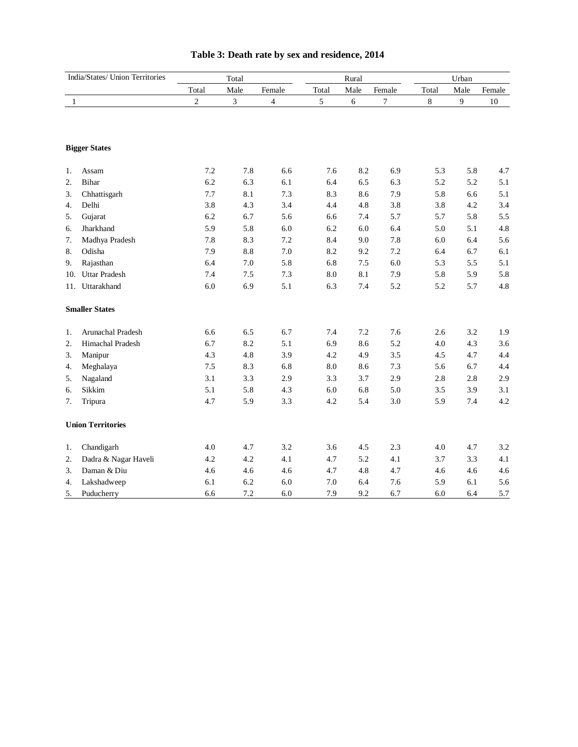| India/States/ Union Territories |                          |                | Total                       |                |         | Rural   |        | Urban |      |        |
|---------------------------------|--------------------------|----------------|-----------------------------|----------------|---------|---------|--------|-------|------|--------|
|                                 |                          | Total          | Male                        | Female         | Total   | Male    | Female | Total | Male | Female |
| 1                               |                          | $\overline{c}$ | $\ensuremath{\mathfrak{Z}}$ | $\overline{4}$ | 5       | 6       | 7      | 8     | 9    | 10     |
|                                 |                          |                |                             |                |         |         |        |       |      |        |
|                                 | <b>Bigger States</b>     |                |                             |                |         |         |        |       |      |        |
| 1.                              | Assam                    | 7.2            | 7.8                         | 6.6            | 7.6     | 8.2     | 6.9    | 5.3   | 5.8  | 4.7    |
| 2.                              | Bihar                    | 6.2            | 6.3                         | 6.1            | 6.4     | 6.5     | 6.3    | 5.2   | 5.2  | 5.1    |
| 3.                              | Chhattisgarh             | 7.7            | 8.1                         | 7.3            | 8.3     | 8.6     | 7.9    | 5.8   | 6.6  | 5.1    |
| 4.                              | Delhi                    | 3.8            | 4.3                         | 3.4            | 4.4     | 4.8     | 3.8    | 3.8   | 4.2  | 3.4    |
| 5.                              | Gujarat                  | 6.2            | 6.7                         | 5.6            | 6.6     | 7.4     | 5.7    | 5.7   | 5.8  | 5.5    |
| 6.                              | Jharkhand                | 5.9            | 5.8                         | 6.0            | 6.2     | 6.0     | 6.4    | 5.0   | 5.1  | 4.8    |
| 7.                              | Madhya Pradesh           | 7.8            | 8.3                         | 7.2            | 8.4     | 9.0     | 7.8    | 6.0   | 6.4  | 5.6    |
| 8.                              | Odisha                   | 7.9            | 8.8                         | $7.0\,$        | 8.2     | 9.2     | 7.2    | 6.4   | 6.7  | 6.1    |
| 9.                              | Rajasthan                | 6.4            | $7.0\,$                     | 5.8            | 6.8     | $7.5\,$ | 6.0    | 5.3   | 5.5  | 5.1    |
| 10.                             | <b>Uttar Pradesh</b>     | 7.4            | 7.5                         | 7.3            | 8.0     | 8.1     | 7.9    | 5.8   | 5.9  | 5.8    |
| 11.                             | Uttarakhand              | 6.0            | 6.9                         | 5.1            | 6.3     | 7.4     | 5.2    | 5.2   | 5.7  | 4.8    |
|                                 | <b>Smaller States</b>    |                |                             |                |         |         |        |       |      |        |
| 1.                              | Arunachal Pradesh        | 6.6            | 6.5                         | 6.7            | 7.4     | 7.2     | 7.6    | 2.6   | 3.2  | 1.9    |
| 2.                              | Himachal Pradesh         | 6.7            | 8.2                         | 5.1            | 6.9     | 8.6     | 5.2    | 4.0   | 4.3  | 3.6    |
| 3.                              | Manipur                  | 4.3            | 4.8                         | 3.9            | 4.2     | 4.9     | 3.5    | 4.5   | 4.7  | 4.4    |
| 4.                              | Meghalaya                | 7.5            | 8.3                         | 6.8            | 8.0     | 8.6     | 7.3    | 5.6   | 6.7  | 4.4    |
| 5.                              | Nagaland                 | 3.1            | 3.3                         | 2.9            | 3.3     | 3.7     | 2.9    | 2.8   | 2.8  | 2.9    |
| 6.                              | Sikkim                   | 5.1            | 5.8                         | 4.3            | $6.0\,$ | 6.8     | 5.0    | 3.5   | 3.9  | 3.1    |
| 7.                              | Tripura                  | 4.7            | 5.9                         | 3.3            | 4.2     | 5.4     | 3.0    | 5.9   | 7.4  | 4.2    |
|                                 | <b>Union Territories</b> |                |                             |                |         |         |        |       |      |        |
| 1.                              | Chandigarh               | 4.0            | 4.7                         | 3.2            | 3.6     | 4.5     | 2.3    | 4.0   | 4.7  | 3.2    |
| 2.                              | Dadra & Nagar Haveli     | 4.2            | 4.2                         | 4.1            | 4.7     | 5.2     | 4.1    | 3.7   | 3.3  | 4.1    |
| 3.                              | Daman & Diu              | 4.6            | 4.6                         | 4.6            | 4.7     | 4.8     | 4.7    | 4.6   | 4.6  | 4.6    |
| 4.                              | Lakshadweep              | 6.1            | 6.2                         | 6.0            | 7.0     | 6.4     | 7.6    | 5.9   | 6.1  | 5.6    |
| 5.                              | Puducherry               | 6.6            | 7.2                         | 6.0            | 7.9     | 9.2     | 6.7    | 6.0   | 6.4  | 5.7    |

# **Table 3: Death rate by sex and residence, 2014**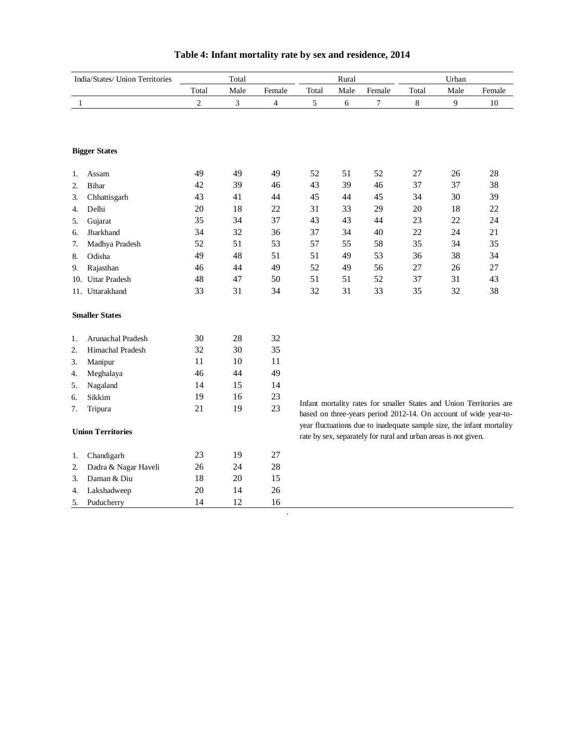| India/States/ Union Territories |                       |                | Total |        |       | Rural                                                           |                |       | Urban |                                                                                                                                           |
|---------------------------------|-----------------------|----------------|-------|--------|-------|-----------------------------------------------------------------|----------------|-------|-------|-------------------------------------------------------------------------------------------------------------------------------------------|
|                                 |                       | Total          | Male  | Female | Total | Male                                                            | Female         | Total | Male  | Female                                                                                                                                    |
| $\mathbf{1}$                    |                       | $\overline{c}$ | 3     | 4      | 5     | 6                                                               | $\overline{7}$ | 8     | 9     | 10                                                                                                                                        |
|                                 |                       |                |       |        |       |                                                                 |                |       |       |                                                                                                                                           |
|                                 | <b>Bigger States</b>  |                |       |        |       |                                                                 |                |       |       |                                                                                                                                           |
| 1.                              | Assam                 | 49             | 49    | 49     | 52    | 51                                                              | 52             | 27    | 26    | 28                                                                                                                                        |
| 2.                              | <b>Bihar</b>          | 42             | 39    | 46     | 43    | 39                                                              | 46             | 37    | 37    | 38                                                                                                                                        |
| 3.                              | Chhattisgarh          | 43             | 41    | 44     | 45    | 44                                                              | 45             | 34    | 30    | 39                                                                                                                                        |
| 4.                              | Delhi                 | 20             | 18    | 22     | 31    | 33                                                              | 29             | 20    | 18    | 22                                                                                                                                        |
| 5.                              | Gujarat               | 35             | 34    | 37     | 43    | 43                                                              | 44             | 23    | 22    | 24                                                                                                                                        |
| 6.                              | Jharkhand             | 34             | 32    | 36     | 37    | 34                                                              | 40             | 22    | 24    | 21                                                                                                                                        |
| 7.                              | Madhya Pradesh        | 52             | 51    | 53     | 57    | 55                                                              | 58             | 35    | 34    | 35                                                                                                                                        |
| 8.                              | Odisha                | 49             | 48    | 51     | 51    | 49                                                              | 53             | 36    | 38    | 34                                                                                                                                        |
| 9.                              | Rajasthan             | 46             | 44    | 49     | 52    | 49                                                              | 56             | 27    | 26    | 27                                                                                                                                        |
| 10.                             | <b>Uttar Pradesh</b>  | 48             | 47    | 50     | 51    | 51                                                              | 52             | 37    | 31    | 43                                                                                                                                        |
|                                 | 11. Uttarakhand       | 33             | 31    | 34     | 32    | 31                                                              | 33             | 35    | 32    | 38                                                                                                                                        |
|                                 | <b>Smaller States</b> |                |       |        |       |                                                                 |                |       |       |                                                                                                                                           |
| 1.                              | Arunachal Pradesh     | 30             | 28    | 32     |       |                                                                 |                |       |       |                                                                                                                                           |
| 2.                              | Himachal Pradesh      | 32             | 30    | 35     |       |                                                                 |                |       |       |                                                                                                                                           |
| 3.                              | Manipur               | 11             | 10    | 11     |       |                                                                 |                |       |       |                                                                                                                                           |
| 4.                              | Meghalaya             | 46             | 44    | 49     |       |                                                                 |                |       |       |                                                                                                                                           |
| 5.                              | Nagaland              | 14             | 15    | 14     |       |                                                                 |                |       |       |                                                                                                                                           |
| 6.                              | Sikkim                | 19             | 16    | 23     |       |                                                                 |                |       |       |                                                                                                                                           |
| 7.                              | Tripura               | 21             | 19    | 23     |       |                                                                 |                |       |       | Infant mortality rates for smaller States and Union Territories are                                                                       |
|                                 |                       |                |       |        |       |                                                                 |                |       |       | based on three-years period 2012-14. On account of wide year-to-<br>year fluctuations due to inadequate sample size, the infant mortality |
| <b>Union Territories</b>        |                       |                |       |        |       | rate by sex, separately for rural and urban areas is not given. |                |       |       |                                                                                                                                           |
| 1.                              | Chandigarh            | 23             | 19    | 27     |       |                                                                 |                |       |       |                                                                                                                                           |
| 2.                              | Dadra & Nagar Haveli  | 26             | 24    | 28     |       |                                                                 |                |       |       |                                                                                                                                           |
| 3.                              | Daman & Diu           | 18             | 20    | 15     |       |                                                                 |                |       |       |                                                                                                                                           |
| 4.                              | Lakshadweep           | 20             | 14    | 26     |       |                                                                 |                |       |       |                                                                                                                                           |
| 5.                              | Puducherry            | 14             | 12    | 16     |       |                                                                 |                |       |       |                                                                                                                                           |

# **Table 4: Infant mortality rate by sex and residence, 2014**